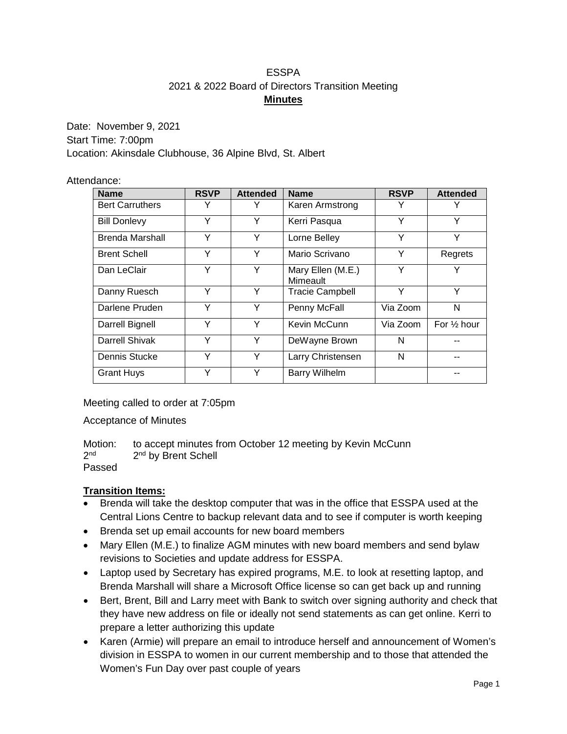### ESSPA 2021 & 2022 Board of Directors Transition Meeting **Minutes**

Date: November 9, 2021 Start Time: 7:00pm Location: Akinsdale Clubhouse, 36 Alpine Blvd, St. Albert

### Attendance:

| <b>Name</b>            | <b>RSVP</b> | <b>Attended</b> | <b>Name</b>                   | <b>RSVP</b> | <b>Attended</b>        |
|------------------------|-------------|-----------------|-------------------------------|-------------|------------------------|
| <b>Bert Carruthers</b> |             |                 | Karen Armstrong               |             |                        |
| <b>Bill Donlevy</b>    | Y           | Y               | Kerri Pasqua                  | Υ           | Y                      |
| Brenda Marshall        | Y           | Υ               | Lorne Belley                  | Υ           | Y                      |
| <b>Brent Schell</b>    | Y           | Υ               | Mario Scrivano                | Υ           | Regrets                |
| Dan LeClair            | Y           | Υ               | Mary Ellen (M.E.)<br>Mimeault | Υ           | Y                      |
| Danny Ruesch           | Υ           | Υ               | <b>Tracie Campbell</b>        | Υ           | Υ                      |
| Darlene Pruden         | Υ           | Υ               | Penny McFall                  | Via Zoom    | N                      |
| Darrell Bignell        | Υ           | Υ               | Kevin McCunn                  | Via Zoom    | For $\frac{1}{2}$ hour |
| Darrell Shivak         | Υ           | Υ               | DeWayne Brown                 | N           |                        |
| Dennis Stucke          | Υ           | Υ               | Larry Christensen             | N           |                        |
| <b>Grant Huys</b>      | ٧           | Υ               | <b>Barry Wilhelm</b>          |             |                        |

Meeting called to order at 7:05pm

Acceptance of Minutes

Motion: to accept minutes from October 12 meeting by Kevin McCunn  $2<sup>nd</sup>$  by Brent Schell 2<sup>nd</sup> by Brent Schell

Passed

### **Transition Items:**

- Brenda will take the desktop computer that was in the office that ESSPA used at the Central Lions Centre to backup relevant data and to see if computer is worth keeping
- Brenda set up email accounts for new board members
- Mary Ellen (M.E.) to finalize AGM minutes with new board members and send bylaw revisions to Societies and update address for ESSPA.
- Laptop used by Secretary has expired programs, M.E. to look at resetting laptop, and Brenda Marshall will share a Microsoft Office license so can get back up and running
- Bert, Brent, Bill and Larry meet with Bank to switch over signing authority and check that they have new address on file or ideally not send statements as can get online. Kerri to prepare a letter authorizing this update
- Karen (Armie) will prepare an email to introduce herself and announcement of Women's division in ESSPA to women in our current membership and to those that attended the Women's Fun Day over past couple of years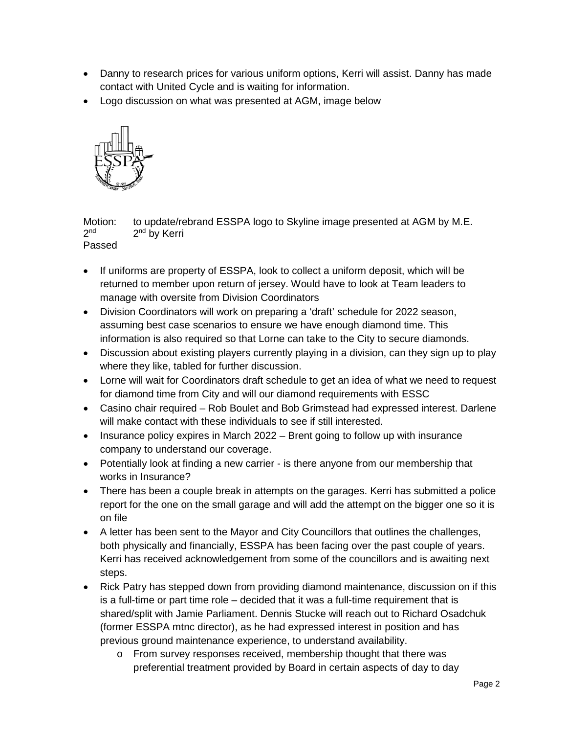- Danny to research prices for various uniform options, Kerri will assist. Danny has made contact with United Cycle and is waiting for information.
- Logo discussion on what was presented at AGM, image below



Motion: to update/rebrand ESSPA logo to Skyline image presented at AGM by M.E.  $2^{nd}$  2<sup>nd</sup> by Kerri

Passed

- If uniforms are property of ESSPA, look to collect a uniform deposit, which will be returned to member upon return of jersey. Would have to look at Team leaders to manage with oversite from Division Coordinators
- Division Coordinators will work on preparing a 'draft' schedule for 2022 season, assuming best case scenarios to ensure we have enough diamond time. This information is also required so that Lorne can take to the City to secure diamonds.
- Discussion about existing players currently playing in a division, can they sign up to play where they like, tabled for further discussion.
- Lorne will wait for Coordinators draft schedule to get an idea of what we need to request for diamond time from City and will our diamond requirements with ESSC
- Casino chair required Rob Boulet and Bob Grimstead had expressed interest. Darlene will make contact with these individuals to see if still interested.
- Insurance policy expires in March 2022 Brent going to follow up with insurance company to understand our coverage.
- Potentially look at finding a new carrier is there anyone from our membership that works in Insurance?
- There has been a couple break in attempts on the garages. Kerri has submitted a police report for the one on the small garage and will add the attempt on the bigger one so it is on file
- A letter has been sent to the Mayor and City Councillors that outlines the challenges, both physically and financially, ESSPA has been facing over the past couple of years. Kerri has received acknowledgement from some of the councillors and is awaiting next steps.
- Rick Patry has stepped down from providing diamond maintenance, discussion on if this is a full-time or part time role – decided that it was a full-time requirement that is shared/split with Jamie Parliament. Dennis Stucke will reach out to Richard Osadchuk (former ESSPA mtnc director), as he had expressed interest in position and has previous ground maintenance experience, to understand availability.
	- o From survey responses received, membership thought that there was preferential treatment provided by Board in certain aspects of day to day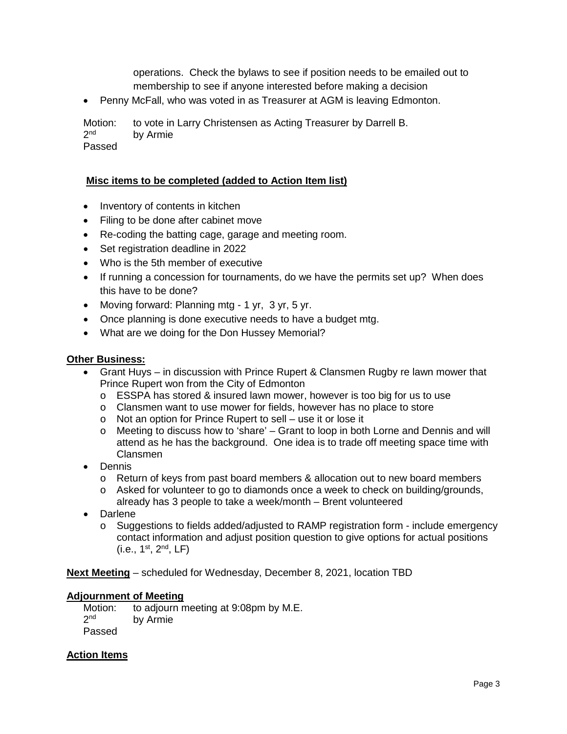operations. Check the bylaws to see if position needs to be emailed out to membership to see if anyone interested before making a decision

• Penny McFall, who was voted in as Treasurer at AGM is leaving Edmonton.

Motion: to vote in Larry Christensen as Acting Treasurer by Darrell B.<br>2<sup>nd</sup> by Armie by Armie

Passed

#### **Misc items to be completed (added to Action Item list)**

- Inventory of contents in kitchen
- Filing to be done after cabinet move
- Re-coding the batting cage, garage and meeting room.
- Set registration deadline in 2022
- Who is the 5th member of executive
- If running a concession for tournaments, do we have the permits set up? When does this have to be done?
- Moving forward: Planning mtg 1 yr, 3 yr, 5 yr.
- Once planning is done executive needs to have a budget mtg.
- What are we doing for the Don Hussey Memorial?

#### **Other Business:**

- Grant Huys in discussion with Prince Rupert & Clansmen Rugby re lawn mower that Prince Rupert won from the City of Edmonton
	- $\circ$  ESSPA has stored & insured lawn mower, however is too big for us to use
	- o Clansmen want to use mower for fields, however has no place to store
	- o Not an option for Prince Rupert to sell use it or lose it
	- o Meeting to discuss how to 'share' Grant to loop in both Lorne and Dennis and will attend as he has the background. One idea is to trade off meeting space time with Clansmen
- Dennis
	- o Return of keys from past board members & allocation out to new board members
	- $\circ$  Asked for volunteer to go to diamonds once a week to check on building/grounds, already has 3 people to take a week/month – Brent volunteered
- **Darlene** 
	- o Suggestions to fields added/adjusted to RAMP registration form include emergency contact information and adjust position question to give options for actual positions  $(i.e., 1<sup>st</sup>, 2<sup>nd</sup>, LF)$

**Next Meeting** – scheduled for Wednesday, December 8, 2021, location TBD

#### **Adjournment of Meeting**

Motion: to adjourn meeting at 9:08pm by M.E.<br> $2^{nd}$  by Armie by Armie Passed

#### **Action Items**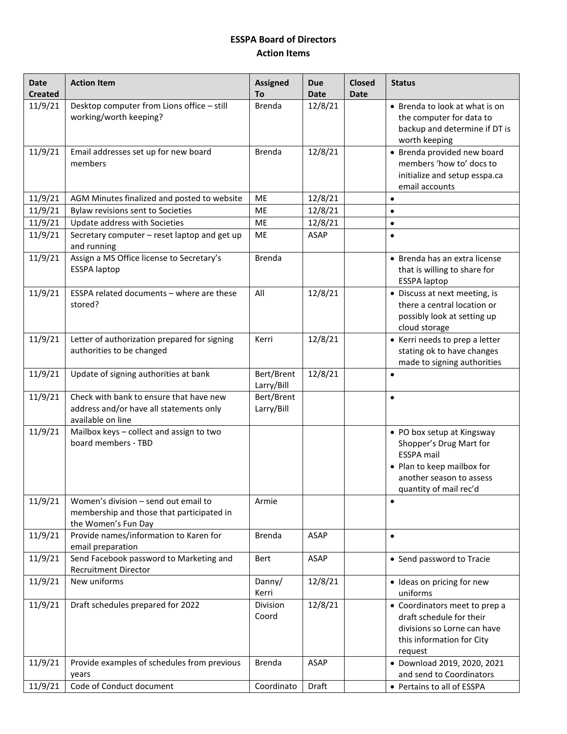### **ESSPA Board of Directors Action Items**

| <b>Date</b><br><b>Created</b> | <b>Action Item</b>                                                                                       | <b>Assigned</b><br>To    | <b>Due</b><br><b>Date</b> | <b>Closed</b><br><b>Date</b> | <b>Status</b>                                                                                                                                                  |
|-------------------------------|----------------------------------------------------------------------------------------------------------|--------------------------|---------------------------|------------------------------|----------------------------------------------------------------------------------------------------------------------------------------------------------------|
| 11/9/21                       | Desktop computer from Lions office - still<br>working/worth keeping?                                     | <b>Brenda</b>            | 12/8/21                   |                              | • Brenda to look at what is on<br>the computer for data to<br>backup and determine if DT is<br>worth keeping                                                   |
| 11/9/21                       | Email addresses set up for new board<br>members                                                          | Brenda                   | 12/8/21                   |                              | • Brenda provided new board<br>members 'how to' docs to<br>initialize and setup esspa.ca<br>email accounts                                                     |
| 11/9/21                       | AGM Minutes finalized and posted to website                                                              | <b>ME</b>                | 12/8/21                   |                              | $\bullet$                                                                                                                                                      |
| 11/9/21                       | Bylaw revisions sent to Societies                                                                        | ME                       | 12/8/21                   |                              | $\bullet$                                                                                                                                                      |
| 11/9/21                       | Update address with Societies                                                                            | ME                       | 12/8/21                   |                              | $\bullet$                                                                                                                                                      |
| 11/9/21                       | Secretary computer - reset laptop and get up<br>and running                                              | <b>ME</b>                | ASAP                      |                              | $\bullet$                                                                                                                                                      |
| 11/9/21                       | Assign a MS Office license to Secretary's<br><b>ESSPA laptop</b>                                         | <b>Brenda</b>            |                           |                              | • Brenda has an extra license<br>that is willing to share for<br><b>ESSPA laptop</b>                                                                           |
| 11/9/21                       | ESSPA related documents - where are these<br>stored?                                                     | All                      | 12/8/21                   |                              | • Discuss at next meeting, is<br>there a central location or<br>possibly look at setting up<br>cloud storage                                                   |
| 11/9/21                       | Letter of authorization prepared for signing<br>authorities to be changed                                | Kerri                    | 12/8/21                   |                              | • Kerri needs to prep a letter<br>stating ok to have changes<br>made to signing authorities                                                                    |
| 11/9/21                       | Update of signing authorities at bank                                                                    | Bert/Brent<br>Larry/Bill | 12/8/21                   |                              | $\bullet$                                                                                                                                                      |
| 11/9/21                       | Check with bank to ensure that have new<br>address and/or have all statements only<br>available on line  | Bert/Brent<br>Larry/Bill |                           |                              | $\bullet$                                                                                                                                                      |
| 11/9/21                       | Mailbox keys - collect and assign to two<br>board members - TBD                                          |                          |                           |                              | • PO box setup at Kingsway<br>Shopper's Drug Mart for<br><b>ESSPA</b> mail<br>• Plan to keep mailbox for<br>another season to assess<br>quantity of mail rec'd |
| 11/9/21                       | Women's division - send out email to<br>membership and those that participated in<br>the Women's Fun Day | Armie                    |                           |                              | $\bullet$                                                                                                                                                      |
| 11/9/21                       | Provide names/information to Karen for<br>email preparation                                              | Brenda                   | ASAP                      |                              | $\bullet$                                                                                                                                                      |
| 11/9/21                       | Send Facebook password to Marketing and<br><b>Recruitment Director</b>                                   | Bert                     | <b>ASAP</b>               |                              | • Send password to Tracie                                                                                                                                      |
| 11/9/21                       | New uniforms                                                                                             | Danny/<br>Kerri          | 12/8/21                   |                              | · Ideas on pricing for new<br>uniforms                                                                                                                         |
| 11/9/21                       | Draft schedules prepared for 2022                                                                        | Division<br>Coord        | 12/8/21                   |                              | • Coordinators meet to prep a<br>draft schedule for their<br>divisions so Lorne can have<br>this information for City<br>request                               |
| 11/9/21                       | Provide examples of schedules from previous                                                              | <b>Brenda</b>            | <b>ASAP</b>               |                              | · Download 2019, 2020, 2021                                                                                                                                    |
|                               | years                                                                                                    |                          |                           |                              | and send to Coordinators                                                                                                                                       |
| 11/9/21                       | Code of Conduct document                                                                                 | Coordinato               | Draft                     |                              | • Pertains to all of ESSPA                                                                                                                                     |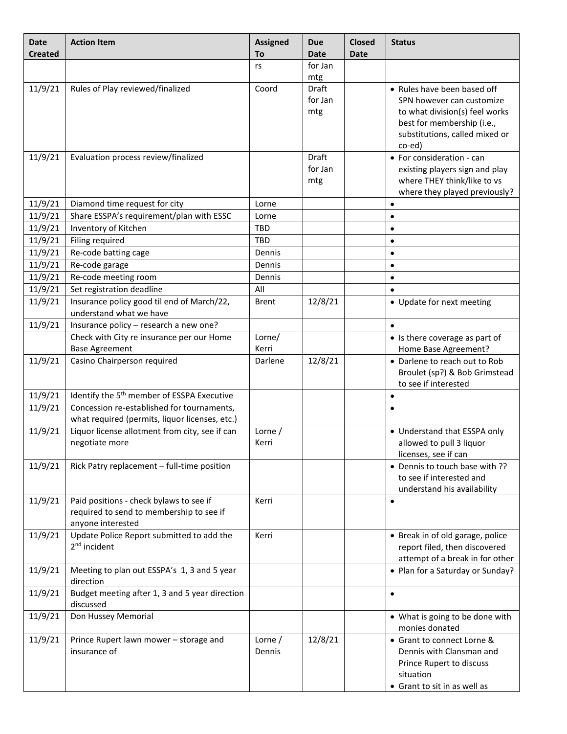| <b>Date</b><br><b>Created</b> | <b>Action Item</b>                                                                                       | <b>Assigned</b><br>To | <b>Due</b><br><b>Date</b> | <b>Closed</b><br><b>Date</b> | <b>Status</b>                                                                                                                                                        |
|-------------------------------|----------------------------------------------------------------------------------------------------------|-----------------------|---------------------------|------------------------------|----------------------------------------------------------------------------------------------------------------------------------------------------------------------|
|                               |                                                                                                          | rs                    | for Jan<br>mtg            |                              |                                                                                                                                                                      |
| 11/9/21                       | Rules of Play reviewed/finalized                                                                         | Coord                 | Draft<br>for Jan<br>mtg   |                              | • Rules have been based off<br>SPN however can customize<br>to what division(s) feel works<br>best for membership (i.e.,<br>substitutions, called mixed or<br>co-ed) |
| 11/9/21                       | Evaluation process review/finalized                                                                      |                       | Draft<br>for Jan<br>mtg   |                              | • For consideration - can<br>existing players sign and play<br>where THEY think/like to vs<br>where they played previously?                                          |
| 11/9/21                       | Diamond time request for city                                                                            | Lorne                 |                           |                              | $\bullet$                                                                                                                                                            |
| 11/9/21                       | Share ESSPA's requirement/plan with ESSC                                                                 | Lorne                 |                           |                              | $\bullet$                                                                                                                                                            |
| 11/9/21                       | Inventory of Kitchen                                                                                     | <b>TBD</b>            |                           |                              | $\bullet$                                                                                                                                                            |
| 11/9/21                       | Filing required                                                                                          | <b>TBD</b>            |                           |                              | $\bullet$                                                                                                                                                            |
| 11/9/21                       | Re-code batting cage                                                                                     | Dennis                |                           |                              | $\bullet$                                                                                                                                                            |
| 11/9/21                       | Re-code garage                                                                                           | Dennis                |                           |                              | $\bullet$                                                                                                                                                            |
| 11/9/21                       | Re-code meeting room                                                                                     | Dennis                |                           |                              | $\bullet$                                                                                                                                                            |
| 11/9/21                       | Set registration deadline                                                                                | All                   |                           |                              | $\bullet$                                                                                                                                                            |
| 11/9/21                       | Insurance policy good til end of March/22,<br>understand what we have                                    | <b>Brent</b>          | 12/8/21                   |                              | • Update for next meeting                                                                                                                                            |
| 11/9/21                       | Insurance policy - research a new one?                                                                   |                       |                           |                              | $\bullet$                                                                                                                                                            |
|                               | Check with City re insurance per our Home<br><b>Base Agreement</b>                                       | Lorne/<br>Kerri       |                           |                              | • Is there coverage as part of<br>Home Base Agreement?                                                                                                               |
| 11/9/21                       | Casino Chairperson required                                                                              | Darlene               | 12/8/21                   |                              | • Darlene to reach out to Rob<br>Broulet (sp?) & Bob Grimstead<br>to see if interested                                                                               |
| 11/9/21                       | Identify the 5 <sup>th</sup> member of ESSPA Executive                                                   |                       |                           |                              | $\bullet$                                                                                                                                                            |
| 11/9/21                       | Concession re-established for tournaments,<br>what required (permits, liquor licenses, etc.)             |                       |                           |                              | $\bullet$                                                                                                                                                            |
| 11/9/21                       | Liquor license allotment from city, see if can<br>negotiate more                                         | Lorne /<br>Kerri      |                           |                              | • Understand that ESSPA only<br>allowed to pull 3 liquor<br>licenses, see if can                                                                                     |
| 11/9/21                       | Rick Patry replacement - full-time position                                                              |                       |                           |                              | • Dennis to touch base with ??<br>to see if interested and<br>understand his availability                                                                            |
| 11/9/21                       | Paid positions - check bylaws to see if<br>required to send to membership to see if<br>anyone interested | Kerri                 |                           |                              | $\bullet$                                                                                                                                                            |
| 11/9/21                       | Update Police Report submitted to add the<br>$2nd$ incident                                              | Kerri                 |                           |                              | • Break in of old garage, police<br>report filed, then discovered<br>attempt of a break in for other                                                                 |
| 11/9/21                       | Meeting to plan out ESSPA's 1, 3 and 5 year<br>direction                                                 |                       |                           |                              | • Plan for a Saturday or Sunday?                                                                                                                                     |
| 11/9/21                       | Budget meeting after 1, 3 and 5 year direction<br>discussed                                              |                       |                           |                              | $\bullet$                                                                                                                                                            |
| 11/9/21                       | Don Hussey Memorial                                                                                      |                       |                           |                              | • What is going to be done with<br>monies donated                                                                                                                    |
| 11/9/21                       | Prince Rupert lawn mower - storage and<br>insurance of                                                   | Lorne $/$<br>Dennis   | 12/8/21                   |                              | • Grant to connect Lorne &<br>Dennis with Clansman and<br>Prince Rupert to discuss<br>situation<br>• Grant to sit in as well as                                      |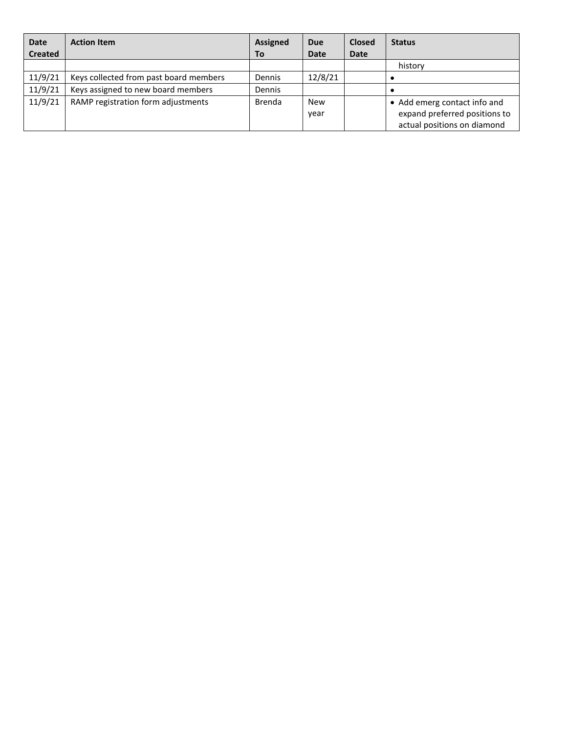| <b>Date</b>    | <b>Action Item</b>                     | <b>Assigned</b> | <b>Due</b>  | <b>Closed</b> | <b>Status</b>                 |
|----------------|----------------------------------------|-----------------|-------------|---------------|-------------------------------|
| <b>Created</b> |                                        | To              | <b>Date</b> | <b>Date</b>   |                               |
|                |                                        |                 |             |               | history                       |
| 11/9/21        | Keys collected from past board members | Dennis          | 12/8/21     |               |                               |
| 11/9/21        | Keys assigned to new board members     | Dennis          |             |               |                               |
| 11/9/21        | RAMP registration form adjustments     | Brenda          | <b>New</b>  |               | • Add emerg contact info and  |
|                |                                        |                 | year        |               | expand preferred positions to |
|                |                                        |                 |             |               | actual positions on diamond   |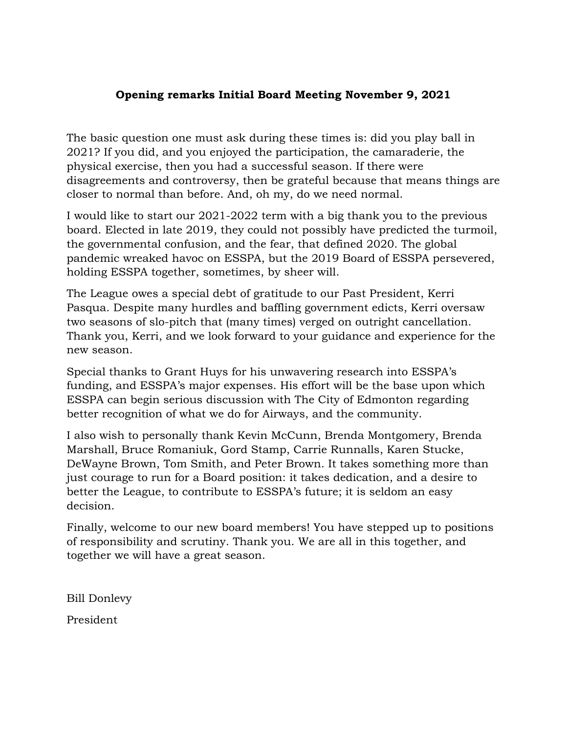### **Opening remarks Initial Board Meeting November 9, 2021**

The basic question one must ask during these times is: did you play ball in 2021? If you did, and you enjoyed the participation, the camaraderie, the physical exercise, then you had a successful season. If there were disagreements and controversy, then be grateful because that means things are closer to normal than before. And, oh my, do we need normal.

I would like to start our 2021-2022 term with a big thank you to the previous board. Elected in late 2019, they could not possibly have predicted the turmoil, the governmental confusion, and the fear, that defined 2020. The global pandemic wreaked havoc on ESSPA, but the 2019 Board of ESSPA persevered, holding ESSPA together, sometimes, by sheer will.

The League owes a special debt of gratitude to our Past President, Kerri Pasqua. Despite many hurdles and baffling government edicts, Kerri oversaw two seasons of slo-pitch that (many times) verged on outright cancellation. Thank you, Kerri, and we look forward to your guidance and experience for the new season.

Special thanks to Grant Huys for his unwavering research into ESSPA's funding, and ESSPA's major expenses. His effort will be the base upon which ESSPA can begin serious discussion with The City of Edmonton regarding better recognition of what we do for Airways, and the community.

I also wish to personally thank Kevin McCunn, Brenda Montgomery, Brenda Marshall, Bruce Romaniuk, Gord Stamp, Carrie Runnalls, Karen Stucke, DeWayne Brown, Tom Smith, and Peter Brown. It takes something more than just courage to run for a Board position: it takes dedication, and a desire to better the League, to contribute to ESSPA's future; it is seldom an easy decision.

Finally, welcome to our new board members! You have stepped up to positions of responsibility and scrutiny. Thank you. We are all in this together, and together we will have a great season.

Bill Donlevy

President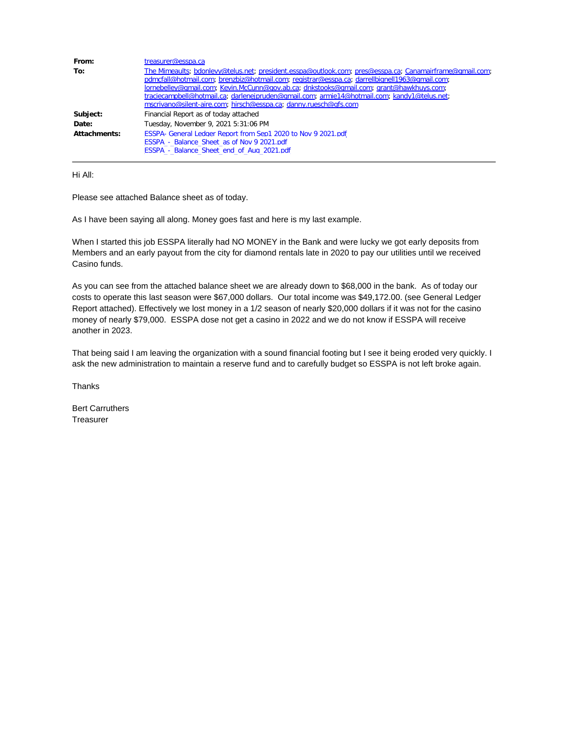| From:<br>To: | treasurer@esspa.ca<br>The Mimeaults, bdonlevy@telus.net; president.esspa@outlook.com; pres@esspa.ca; Canamairframe@gmail.com;<br>pdmcfall@hotmail.com; brenzbiz@hotmail.com; registrar@esspa.ca; darrellbignell1963@gmail.com;<br>lornebelley@qmail.com; Kevin.McCunn@qov.ab.ca; dnkstooks@qmail.com; grant@hawkhuys.com;<br>traciecampbell@hotmail.ca, darlenejpruden@qmail.com; armie14@hotmail.com; kandy1@telus.net; |
|--------------|--------------------------------------------------------------------------------------------------------------------------------------------------------------------------------------------------------------------------------------------------------------------------------------------------------------------------------------------------------------------------------------------------------------------------|
| Subject:     | mscrivano@silent-aire.com; hirsch@esspa.ca; danny.ruesch@qfs.com<br>Financial Report as of today attached                                                                                                                                                                                                                                                                                                                |
| Date:        | Tuesday, November 9, 2021 5:31:06 PM                                                                                                                                                                                                                                                                                                                                                                                     |
| Attachments: | ESSPA- General Ledger Report from Sep1 2020 to Nov 9 2021.pdf<br>ESSPA - Balance Sheet as of Nov 9 2021.pdf<br>ESSPA - Balance Sheet end of Aug 2021.pdf                                                                                                                                                                                                                                                                 |

Hi All:

Please see attached Balance sheet as of today.

As I have been saying all along. Money goes fast and here is my last example.

When I started this job ESSPA literally had NO MONEY in the Bank and were lucky we got early deposits from Members and an early payout from the city for diamond rentals late in 2020 to pay our utilities until we received Casino funds.

As you can see from the attached balance sheet we are already down to \$68,000 in the bank. As of today our costs to operate this last season were \$67,000 dollars. Our total income was \$49,172.00. (see General Ledger Report attached). Effectively we lost money in a 1/2 season of nearly \$20,000 dollars if it was not for the casino money of nearly \$79,000. ESSPA dose not get a casino in 2022 and we do not know if ESSPA will receive another in 2023.

That being said I am leaving the organization with a sound financial footing but I see it being eroded very quickly. I ask the new administration to maintain a reserve fund and to carefully budget so ESSPA is not left broke again.

**Thanks** 

Bert Carruthers **Treasurer**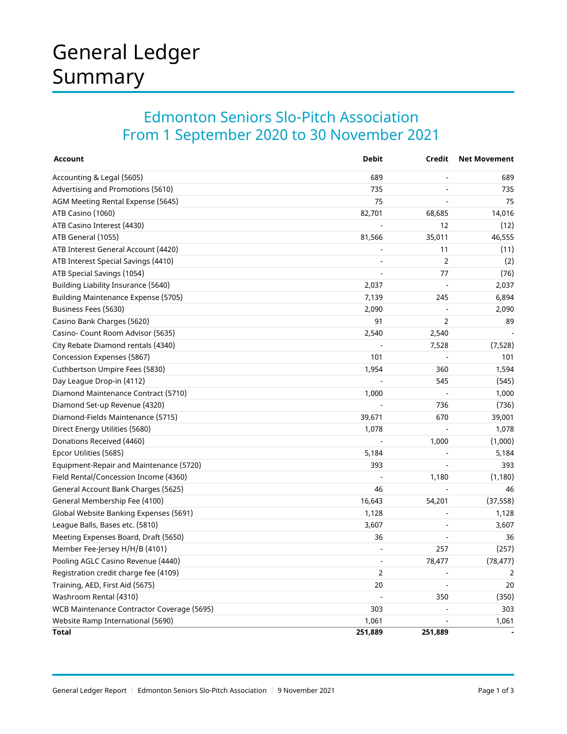# General Ledger Summary

## Edmonton Seniors Slo-Pitch Association From 1 September 2020 to 30 November 2021

| <b>Account</b>                             | <b>Debit</b>             | Credit         | <b>Net Movement</b> |
|--------------------------------------------|--------------------------|----------------|---------------------|
| Accounting & Legal (5605)                  | 689                      |                | 689                 |
| Advertising and Promotions (5610)          | 735                      |                | 735                 |
| AGM Meeting Rental Expense (5645)          | 75                       |                | 75                  |
| ATB Casino (1060)                          | 82,701                   | 68,685         | 14,016              |
| ATB Casino Interest (4430)                 |                          | 12             | (12)                |
| ATB General (1055)                         | 81,566                   | 35,011         | 46,555              |
| ATB Interest General Account (4420)        |                          | 11             | (11)                |
| ATB Interest Special Savings (4410)        | $\overline{\phantom{a}}$ | $\overline{2}$ | (2)                 |
| ATB Special Savings (1054)                 | $\overline{a}$           | 77             | (76)                |
| Building Liability Insurance (5640)        | 2,037                    | J.             | 2,037               |
| Building Maintenance Expense (5705)        | 7,139                    | 245            | 6,894               |
| Business Fees (5630)                       | 2,090                    |                | 2,090               |
| Casino Bank Charges (5620)                 | 91                       | $\overline{2}$ | 89                  |
| Casino- Count Room Advisor (5635)          | 2,540                    | 2,540          |                     |
| City Rebate Diamond rentals (4340)         |                          | 7,528          | (7,528)             |
| Concession Expenses (5867)                 | 101                      |                | 101                 |
| Cuthbertson Umpire Fees (5830)             | 1,954                    | 360            | 1,594               |
| Day League Drop-in (4112)                  |                          | 545            | (545)               |
| Diamond Maintenance Contract (5710)        | 1,000                    |                | 1,000               |
| Diamond Set-up Revenue (4320)              |                          | 736            | (736)               |
| Diamond-Fields Maintenance (5715)          | 39,671                   | 670            | 39,001              |
| Direct Energy Utilities (5680)             | 1,078                    |                | 1,078               |
| Donations Received (4460)                  |                          | 1,000          | (1,000)             |
| Epcor Utilities (5685)                     | 5,184                    |                | 5,184               |
| Equipment-Repair and Maintenance (5720)    | 393                      |                | 393                 |
| Field Rental/Concession Income (4360)      |                          | 1,180          | (1, 180)            |
| General Account Bank Charges (5625)        | 46                       |                | 46                  |
| General Membership Fee (4100)              | 16,643                   | 54,201         | (37, 558)           |
| Global Website Banking Expenses (5691)     | 1,128                    |                | 1,128               |
| League Balls, Bases etc. (5810)            | 3,607                    |                | 3,607               |
| Meeting Expenses Board, Draft (5650)       | 36                       |                | 36                  |
| Member Fee-Jersey H/H/B (4101)             | $\overline{\phantom{a}}$ | 257            | (257)               |
| Pooling AGLC Casino Revenue (4440)         | $\overline{a}$           | 78,477         | (78, 477)           |
| Registration credit charge fee (4109)      | $\overline{2}$           |                | 2                   |
| Training, AED, First Aid (5675)            | 20                       |                | 20                  |
| Washroom Rental (4310)                     |                          | 350            | (350)               |
| WCB Maintenance Contractor Coverage (5695) | 303                      |                | 303                 |
| Website Ramp International (5690)          | 1,061                    |                | 1,061               |
| Total                                      | 251,889                  | 251,889        |                     |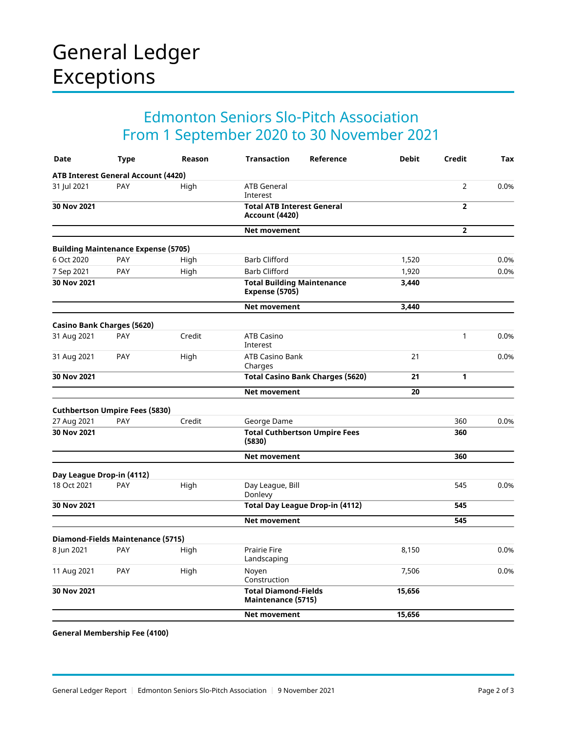# General Ledger Exceptions

## Edmonton Seniors Slo-Pitch Association From 1 September 2020 to 30 November 2021

| Date                                       | <b>Type</b> | Reason | <b>Transaction</b><br>Reference                            | <b>Debit</b> | Credit         | <b>Tax</b> |
|--------------------------------------------|-------------|--------|------------------------------------------------------------|--------------|----------------|------------|
| <b>ATB Interest General Account (4420)</b> |             |        |                                                            |              |                |            |
| 31 Jul 2021                                | PAY         | High   | <b>ATB General</b><br>Interest                             |              | $\overline{2}$ | 0.0%       |
| 30 Nov 2021                                |             |        | <b>Total ATB Interest General</b><br><b>Account (4420)</b> |              | $\overline{2}$ |            |
|                                            |             |        | <b>Net movement</b>                                        |              | $\overline{2}$ |            |
| <b>Building Maintenance Expense (5705)</b> |             |        |                                                            |              |                |            |
| 6 Oct 2020                                 | PAY         | High   | <b>Barb Clifford</b>                                       | 1,520        |                | 0.0%       |
| 7 Sep 2021                                 | PAY         | High   | <b>Barb Clifford</b>                                       | 1,920        |                | 0.0%       |
| 30 Nov 2021                                |             |        | <b>Total Building Maintenance</b><br><b>Expense (5705)</b> | 3,440        |                |            |
|                                            |             |        | Net movement                                               | 3,440        |                |            |
| Casino Bank Charges (5620)                 |             |        |                                                            |              |                |            |
| 31 Aug 2021                                | PAY         | Credit | <b>ATB Casino</b><br>Interest                              |              | $\mathbf{1}$   | 0.0%       |
| 31 Aug 2021                                | PAY         | High   | <b>ATB Casino Bank</b><br>Charges                          | 21           |                | 0.0%       |
| 30 Nov 2021                                |             |        | <b>Total Casino Bank Charges (5620)</b>                    | 21           | 1              |            |
|                                            |             |        | Net movement                                               | 20           |                |            |
| <b>Cuthbertson Umpire Fees (5830)</b>      |             |        |                                                            |              |                |            |
| 27 Aug 2021                                | PAY         | Credit | George Dame                                                |              | 360            | 0.0%       |
| 30 Nov 2021                                |             |        | <b>Total Cuthbertson Umpire Fees</b><br>(5830)             |              | 360            |            |
|                                            |             |        | Net movement                                               |              | 360            |            |
| Day League Drop-in (4112)                  |             |        |                                                            |              |                |            |
| 18 Oct 2021                                | PAY         | High   | Day League, Bill<br>Donlevy                                |              | 545            | 0.0%       |
| 30 Nov 2021                                |             |        | <b>Total Day League Drop-in (4112)</b>                     |              | 545            |            |
|                                            |             |        | Net movement                                               |              | 545            |            |
| Diamond-Fields Maintenance (5715)          |             |        |                                                            |              |                |            |
| 8 Jun 2021                                 | PAY         | High   | <b>Prairie Fire</b><br>Landscaping                         | 8,150        |                | 0.0%       |
| 11 Aug 2021                                | PAY         | High   | Noyen<br>Construction                                      | 7,506        |                | 0.0%       |
| 30 Nov 2021                                |             |        | <b>Total Diamond-Fields</b><br>Maintenance (5715)          | 15,656       |                |            |
|                                            |             |        | <b>Net movement</b>                                        | 15,656       |                |            |

**General Membership Fee (4100)**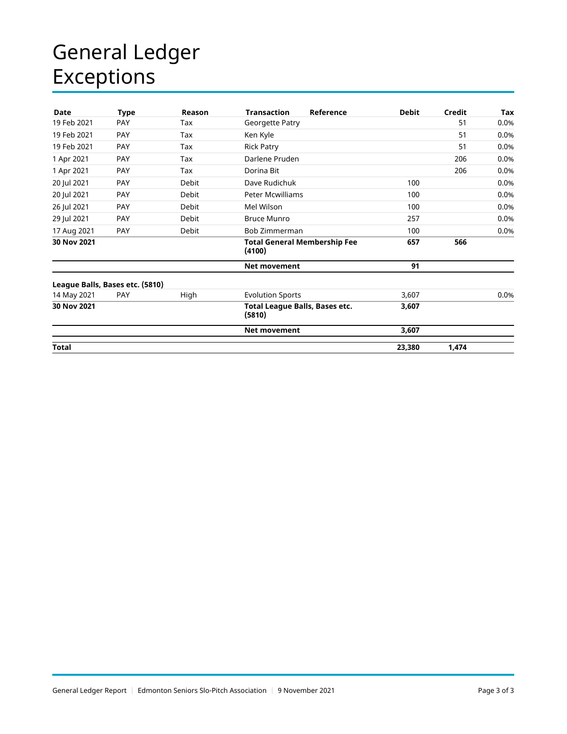# General Ledger Exceptions

| Date         | <b>Type</b>                     | Reason       | <b>Transaction</b><br>Reference               | <b>Debit</b> | Credit | Tax  |
|--------------|---------------------------------|--------------|-----------------------------------------------|--------------|--------|------|
| 19 Feb 2021  | <b>PAY</b>                      | Tax          | Georgette Patry                               |              | 51     | 0.0% |
| 19 Feb 2021  | PAY                             | Tax          | Ken Kyle                                      |              | 51     | 0.0% |
| 19 Feb 2021  | PAY                             | Tax          | <b>Rick Patry</b>                             |              | 51     | 0.0% |
| 1 Apr 2021   | PAY                             | Tax          | Darlene Pruden                                |              | 206    | 0.0% |
| 1 Apr 2021   | <b>PAY</b>                      | Tax          | Dorina Bit                                    |              | 206    | 0.0% |
| 20 Jul 2021  | PAY                             | <b>Debit</b> | Dave Rudichuk                                 | 100          |        | 0.0% |
| 20 Jul 2021  | PAY                             | Debit        | Peter Mcwilliams                              | 100          |        | 0.0% |
| 26 Jul 2021  | <b>PAY</b>                      | <b>Debit</b> | Mel Wilson                                    | 100          |        | 0.0% |
| 29 Jul 2021  | PAY                             | Debit        | <b>Bruce Munro</b>                            | 257          |        | 0.0% |
| 17 Aug 2021  | PAY                             | <b>Debit</b> | Bob Zimmerman                                 | 100          |        | 0.0% |
| 30 Nov 2021  |                                 |              | <b>Total General Membership Fee</b><br>(4100) | 657          | 566    |      |
|              |                                 |              | <b>Net movement</b>                           | 91           |        |      |
|              | League Balls, Bases etc. (5810) |              |                                               |              |        |      |
| 14 May 2021  | <b>PAY</b>                      | High         | <b>Evolution Sports</b>                       | 3,607        |        | 0.0% |
| 30 Nov 2021  |                                 |              | Total League Balls, Bases etc.<br>(5810)      | 3,607        |        |      |
|              |                                 |              | <b>Net movement</b>                           | 3,607        |        |      |
| <b>Total</b> |                                 |              |                                               | 23,380       | 1,474  |      |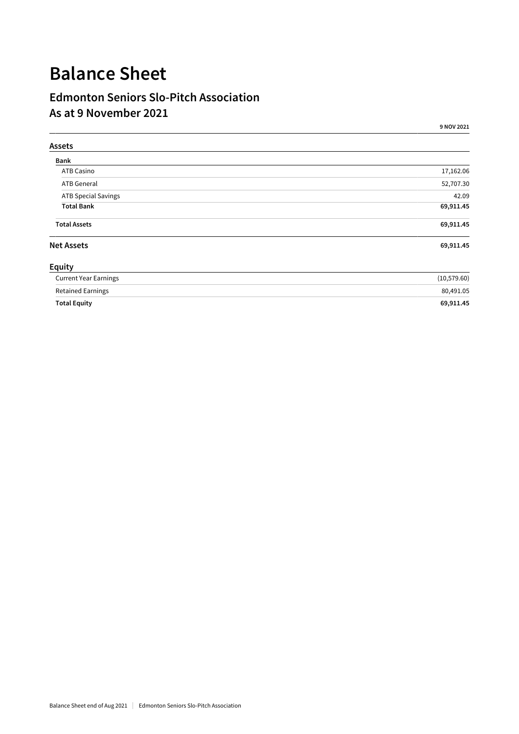# **Balance Sheet**

### **Edmonton Seniors Slo-Pitch Association As at 9 November 2021**

| Assets                       |              |
|------------------------------|--------------|
| Bank                         |              |
| ATB Casino                   | 17,162.06    |
| <b>ATB</b> General           | 52,707.30    |
| <b>ATB Special Savings</b>   | 42.09        |
| <b>Total Bank</b>            | 69,911.45    |
| <b>Total Assets</b>          | 69,911.45    |
| <b>Net Assets</b>            | 69,911.45    |
| Equity                       |              |
| <b>Current Year Earnings</b> | (10, 579.60) |
| <b>Retained Earnings</b>     | 80,491.05    |
| <b>Total Equity</b>          | 69,911.45    |

**9 NOV 2021**